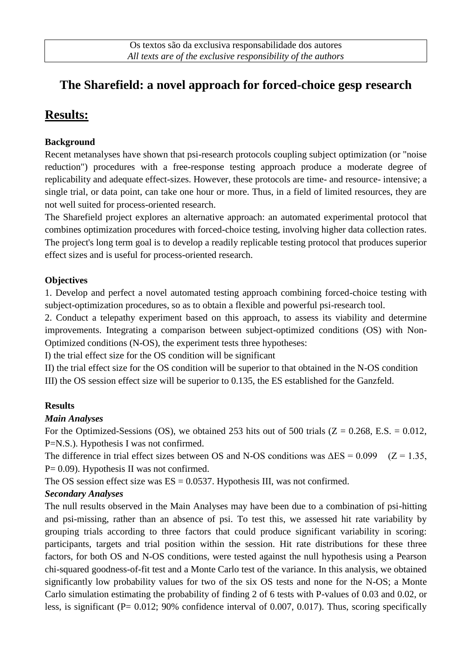# **The Sharefield: a novel approach for forced-choice gesp research**

## **Results:**

#### **Background**

Recent metanalyses have shown that psi-research protocols coupling subject optimization (or "noise reduction") procedures with a free-response testing approach produce a moderate degree of replicability and adequate effect-sizes. However, these protocols are time- and resource- intensive; a single trial, or data point, can take one hour or more. Thus, in a field of limited resources, they are not well suited for process-oriented research.

The Sharefield project explores an alternative approach: an automated experimental protocol that combines optimization procedures with forced-choice testing, involving higher data collection rates. The project's long term goal is to develop a readily replicable testing protocol that produces superior effect sizes and is useful for process-oriented research.

#### **Objectives**

1. Develop and perfect a novel automated testing approach combining forced-choice testing with subject-optimization procedures, so as to obtain a flexible and powerful psi-research tool.

2. Conduct a telepathy experiment based on this approach, to assess its viability and determine improvements. Integrating a comparison between subject-optimized conditions (OS) with Non-Optimized conditions (N-OS), the experiment tests three hypotheses:

I) the trial effect size for the OS condition will be significant

II) the trial effect size for the OS condition will be superior to that obtained in the N-OS condition III) the OS session effect size will be superior to 0.135, the ES established for the Ganzfeld.

### **Results**

### *Main Analyses*

For the Optimized-Sessions (OS), we obtained 253 hits out of 500 trials ( $Z = 0.268$ , E.S. = 0.012, P=N.S.). Hypothesis I was not confirmed.

The difference in trial effect sizes between OS and N-OS conditions was  $\Delta ES = 0.099$  ( $Z = 1.35$ , P= 0.09). Hypothesis II was not confirmed.

The OS session effect size was  $ES = 0.0537$ . Hypothesis III, was not confirmed.

### *Secondary Analyses*

The null results observed in the Main Analyses may have been due to a combination of psi-hitting and psi-missing, rather than an absence of psi. To test this, we assessed hit rate variability by grouping trials according to three factors that could produce significant variability in scoring: participants, targets and trial position within the session. Hit rate distributions for these three factors, for both OS and N-OS conditions, were tested against the null hypothesis using a Pearson chi-squared goodness-of-fit test and a Monte Carlo test of the variance. In this analysis, we obtained significantly low probability values for two of the six OS tests and none for the N-OS; a Monte Carlo simulation estimating the probability of finding 2 of 6 tests with P-values of 0.03 and 0.02, or less, is significant (P= 0.012; 90% confidence interval of 0.007, 0.017). Thus, scoring specifically